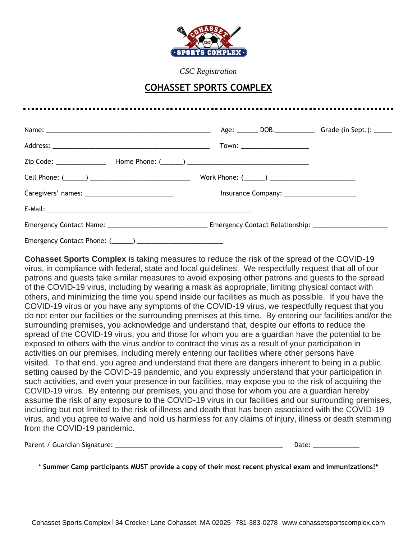

*CSC Registration*

## **COHASSET SPORTS COMPLEX**

|                                                                                   | Town: _______________________ |  |
|-----------------------------------------------------------------------------------|-------------------------------|--|
|                                                                                   |                               |  |
|                                                                                   |                               |  |
|                                                                                   |                               |  |
|                                                                                   |                               |  |
| Emergency Contact Name: Emergency Contact Relationship: _________________________ |                               |  |
|                                                                                   |                               |  |

**Cohasset Sports Complex** is taking measures to reduce the risk of the spread of the COVID-19 virus, in compliance with federal, state and local guidelines. We respectfully request that all of our patrons and guests take similar measures to avoid exposing other patrons and guests to the spread of the COVID-19 virus, including by wearing a mask as appropriate, limiting physical contact with others, and minimizing the time you spend inside our facilities as much as possible. If you have the COVID-19 virus or you have any symptoms of the COVID-19 virus, we respectfully request that you do not enter our facilities or the surrounding premises at this time. By entering our facilities and/or the surrounding premises, you acknowledge and understand that, despite our efforts to reduce the spread of the COVID-19 virus, you and those for whom you are a guardian have the potential to be exposed to others with the virus and/or to contract the virus as a result of your participation in activities on our premises, including merely entering our facilities where other persons have visited. To that end, you agree and understand that there are dangers inherent to being in a public setting caused by the COVID-19 pandemic, and you expressly understand that your participation in such activities, and even your presence in our facilities, may expose you to the risk of acquiring the COVID-19 virus. By entering our premises, you and those for whom you are a guardian hereby assume the risk of any exposure to the COVID-19 virus in our facilities and our surrounding premises, including but not limited to the risk of illness and death that has been associated with the COVID-19 virus, and you agree to waive and hold us harmless for any claims of injury, illness or death stemming from the COVID-19 pandemic.

| Parent / Guardian Signature: | $1 - + -$ |
|------------------------------|-----------|
|                              |           |

\* **Summer Camp participants MUST provide a copy of their most recent physical exam and immunizations!\***